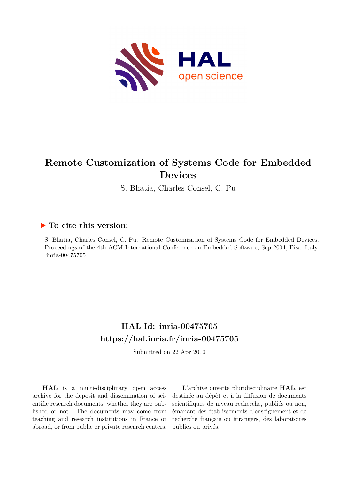

# **Remote Customization of Systems Code for Embedded Devices**

S. Bhatia, Charles Consel, C. Pu

## **To cite this version:**

S. Bhatia, Charles Consel, C. Pu. Remote Customization of Systems Code for Embedded Devices. Proceedings of the 4th ACM International Conference on Embedded Software, Sep 2004, Pisa, Italy.  $inria-00475705$ 

## **HAL Id: inria-00475705 <https://hal.inria.fr/inria-00475705>**

Submitted on 22 Apr 2010

**HAL** is a multi-disciplinary open access archive for the deposit and dissemination of scientific research documents, whether they are published or not. The documents may come from teaching and research institutions in France or abroad, or from public or private research centers.

L'archive ouverte pluridisciplinaire **HAL**, est destinée au dépôt et à la diffusion de documents scientifiques de niveau recherche, publiés ou non, émanant des établissements d'enseignement et de recherche français ou étrangers, des laboratoires publics ou privés.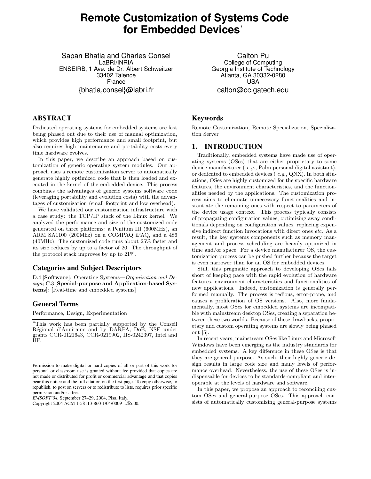## **Remote Customization of Systems Code for Embedded Devices**<sup>∗</sup>

Sapan Bhatia and Charles Consel LaBRI/INRIA ENSEIRB, 1 Ave. de Dr. Albert Schweitzer 33402 Talence France {bhatia,consel}@labri.fr

### **ABSTRACT**

Dedicated operating systems for embedded systems are fast being phased out due to their use of manual optimization, which provides high performance and small footprint, but also requires high maintenance and portability costs every time hardware evolves.

In this paper, we describe an approach based on customization of generic operating system modules. Our approach uses a remote customization server to automatically generate highly optimized code that is then loaded and executed in the kernel of the embedded device. This process combines the advantages of generic systems software code (leveraging portability and evolution costs) with the advantages of customization (small footprint and low overhead).

We have validated our customization infrastructure with a case study: the TCP/IP stack of the Linux kernel. We analyzed the performance and size of the customized code generated on three platforms: a Pentium III (600MHz), an ARM SA1100 (200Mhz) on a COMPAQ iPAQ, and a 486 (40MHz). The customized code runs about 25% faster and its size reduces by up to a factor of 20. The throughput of the protocol stack improves by up to 21%.

### **Categories and Subject Descriptors**

D.4 [Software]: Operating Systems—Organization and Design; C.3 [Special-purpose and Application-based Systems]: [Real-time and embedded systems]

### **General Terms**

Performance, Design, Experimentation

*EMSOFT'04,* September 27–29, 2004, Pisa, Italy.

Copyright 2004 ACM 1-58113-860-1/04/0009 ...\$5.00.

Calton Pu College of Computing Georgia Institute of Technology Atlanta, GA 30332-0280 USA calton@cc.gatech.edu

### **Keywords**

Remote Customization, Remote Specialization, Specialization Server

### **1. INTRODUCTION**

Traditionally, embedded systems have made use of operating systems (OSes) that are either proprietary to some device manufacturer (*e.g.*, Palm personal digital assistant), or dedicated to embedded devices ( e.g., QNX). In both situations, OSes are highly customized for the specific hardware features, the environment characteristics, and the functionalities needed by the applications. The customization process aims to eliminate unnecessary functionalities and instantiate the remaining ones with respect to parameters of the device usage context. This process typically consists of propagating configuration values, optimizing away conditionals depending on configuration values, replacing expensive indirect function invocations with direct ones etc. As a result, the key systems components such as memory management and process scheduling are heavily optimized in time and/or space. For a device manufacturer OS, the customization process can be pushed further because the target is even narrower than for an OS for embedded devices.

Still, this pragmatic approach to developing OSes falls short of keeping pace with the rapid evolution of hardware features, environment characteristics and functionalities of new applications. Indeed, customization is generally performed manually. The process is tedious, error-prone, and causes a proliferation of OS versions. Also, more fundamentally, most OSes for embedded systems are incompatible with mainstream desktop OSes, creating a separation between these two worlds. Because of these drawbacks, proprietary and custom operating systems are slowly being phased out [5].

In recent years, mainstream OSes like Linux and Microsoft Windows have been emerging as the industry standards for embedded systems. A key difference in these OSes is that they are general purpose. As such, their highly generic design results in large code size and many levels of performance overhead. Nevertheless, the use of these OSes is indispensable for devices to be standards-compliant and interoperable at the levels of hardware and software.

In this paper, we propose an approach to reconciling custom OSes and general-purpose OSes. This approach consists of automatically customizing general-purpose systems

<sup>∗</sup>This work has been partially supported by the Conseil Régional d'Aquitaine and by DARPA, DoE, NSF under grants CCR-0121643, CCR-0219902, IIS-0242397, Intel and HP.

Permission to make digital or hard copies of all or part of this work for personal or classroom use is granted without fee provided that copies are not made or distributed for profit or commercial advantage and that copies bear this notice and the full citation on the first page. To copy otherwise, to republish, to post on servers or to redistribute to lists, requires prior specific permission and/or a fee.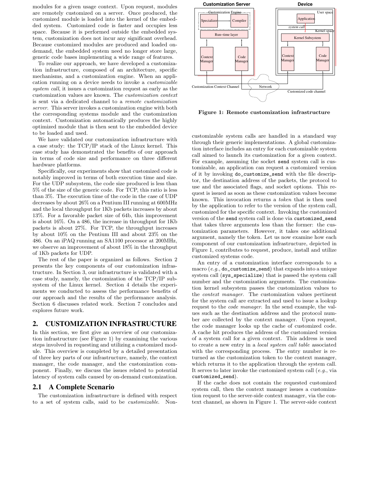modules for a given usage context. Upon request, modules are remotely customized on a server. Once produced, the customized module is loaded into the kernel of the embedded system. Customized code is faster and occupies less space. Because it is performed outside the embedded system, customization does not incur any significant overhead. Because customized modules are produced and loaded ondemand, the embedded system need no longer store large, generic code bases implementing a wide range of features.

To realize our approach, we have developed a customization infrastructure, composed of an architecture, specific mechanisms, and a customization engine. When an application running on a device needs to invoke a customizable system call, it issues a customization request as early as the customization values are known. The customization context is sent via a dedicated channel to a remote customization server. This server invokes a customization engine with both the corresponding systems module and the customization context. Customization automatically produces the highly optimized module that is then sent to the embedded device to be loaded and used.

We have validated our customization infrastructure with a case study: the TCP/IP stack of the Linux kernel. This case study has demonstrated the benefits of our approach in terms of code size and performance on three different hardware platforms.

Specifically, our experiments show that customized code is notably improved in terms of both execution time and size. For the UDP subsystem, the code size produced is less than 5% of the size of the generic code. For TCP, this ratio is less than 3%. The execution time of the code in the case of UDP decreases by about 26% on a Pentium III running at 600MHz and the local throughput for 1Kb packets increases by about 13%. For a favorable packet size of 64b, this improvement is about 16%. On a 486, the increase in throughput for 1Kb packets is about 27%. For TCP, the throughput increases by about 10% on the Pentium III and about 23% on the 486. On an iPAQ running an SA1100 processor at 200MHz, we observe an improvement of about 18% in the throughput of 1Kb packets for UDP.

The rest of the paper is organized as follows. Section 2 presents the key components of our customization infrastructure. In Section 3, our infrastructure is validated with a case study, namely, the customization of the TCP/IP subsystem of the Linux kernel. Section 4 details the experiments we conducted to assess the performance benefits of our approach and the results of the performance analysis. Section 6 discusses related work. Section 7 concludes and explores future work.

### **2. CUSTOMIZATION INFRASTRUCTURE**

In this section, we first give an overview of our customization infrastructure (see Figure 1) by examining the various steps involved in requesting and utilizing a customized module. This overview is completed by a detailed presentation of three key parts of our infrastructure, namely, the context manager, the code manager, and the customization component. Finally, we discuss the issues related to potential latency of system calls caused by on-demand customization.

### **2.1 A Complete Scenario**

The customization infrastructure is defined with respect to a set of system calls, said to be customizable. Non-



Figure 1: Remote customization infrastructure

customizable system calls are handled in a standard way through their generic implementations. A global customization interface includes an entry for each customizable system call aimed to launch its customization for a given context. For example, assuming the socket send system call is customizable, an application can request a customized version of it by invoking do\_customize\_send with the file descriptor, the destination address of the packets, the protocol to use and the associated flags, and socket options. This request is issued as soon as these customization values become known. This invocation returns a token that is then used by the application to refer to the version of the system call, customized for the specific context. Invoking the customized version of the send system call is done via customized\_send that takes three arguments less than the former: the customization parameters. However, it takes one additional argument, namely the token. Let us now examine how each component of our customization infrastructure, depicted in Figure 1, contributes to request, produce, install and utilize customized systems code.

An entry of a customization interface corresponds to a macro  $(e.g., \text{do\_customer}$  and) that expands into a unique system call (sys\_specialize) that is passed the system call number and the customization arguments. The customization kernel subsystem passes the customization values to the context manager. The customization values pertinent for the system call are extracted and used to issue a lookup request to the code manager. In the send example, the values such as the destination address and the protocol number are collected by the context manager. Upon request, the code manager looks up the cache of customized code. A cache hit produces the address of the customized version of a system call for a given context. This address is used to create a new entry in a local system call table associated with the corresponding process. The entry number is returned as the customization token to the context manager, which returns it to the application through the system call. It serves to later invoke the customized system call  $(e.g., via$ customized\_send).

If the cache does not contain the requested customized system call, then the context manager issues a customization request to the server-side context manager, via the context channel, as shown in Figure 1. The server-side context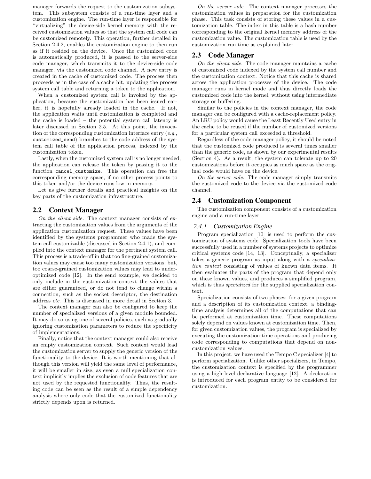manager forwards the request to the customization subsystem. This subsystem consists of a run-time layer and a customization engine. The run-time layer is responsible for "virtualizing" the device-side kernel memory with the received customization values so that the system call code can be customized remotely. This operation, further detailed in Section 2.4.2, enables the customization engine to then run as if it resided on the device. Once the customized code is automatically produced, it is passed to the server-side code manager, which transmits it to the device-side code manager, via the customized code channel. A new entry is created in the cache of customized code. The process then proceeds as in the case of a cache hit, updating the process system call table and returning a token to the application.

When a customized system call is invoked by the application, because the customization has been issued earlier, it is hopefully already loaded in the cache. If not, the application waits until customization is completed and the cache is loaded – the potential system call latency is later discussed in Section 2.5. At this point, the invocation of the corresponding customization interface entry (e.g., customized\_send) branches to the code address of the system call table of the application process, indexed by the customization token.

Lastly, when the customized system call is no longer needed, the application can release the token by passing it to the function cancel\_customize. This operation can free the corresponding memory space, if no other process points to this token and/or the device runs low in memory.

Let us give further details and practical insights on the key parts of the customization infrastructure.

### **2.2 Context Manager**

On the client side. The context manager consists of extracting the customization values from the arguments of the application customization request. These values have been identified by the systems programmer who made the system call customizable (discussed in Section 2.4.1), and compiled into the context manager for the pertinent system call. This process is a trade-off in that too fine-grained customization values may cause too many customization versions; but, too coarse-grained customization values may lead to underoptimized code [12]. In the send example, we decided to only include in the customization context the values that are either guaranteed, or do not tend to change within a connection, such as the socket descriptor, the destination address etc. This is discussed in more detail in Section 3.

The context manager can also be configured to keep the number of specialized versions of a given module bounded. It may do so using one of several policies, such as gradually ignoring customization parameters to reduce the specificity of implementations.

Finally, notice that the context manager could also receive an empty customization context. Such context would lead the customization server to supply the generic version of the functionality to the device. It is worth mentioning that although this version will yield the same level of performance, it will be smaller in size, as even a null specialization context implicitly implies the exclusion of code features that are not used by the requested functionality. Thus, the resulting code can be seen as the result of a simple dependency analysis where only code that the customized functionality strictly depends upon is returned.

On the server side. The context manager processes the customization values in preparation for the customization phase. This task consists of storing these values in a customization table. The index in this table is a hash number corresponding to the original kernel memory address of the customization value. The customization table is used by the customization run time as explained later.

### **2.3 Code Manager**

On the client side. The code manager maintains a cache of customized code indexed by the system call number and the customization context. Notice that this cache is shared across the application processes of the device. The code manager runs in kernel mode and thus directly loads the customized code into the kernel, without using intermediate storage or buffering.

Similar to the policies in the context manager, the code manager can be configured with a cache-replacement policy. An LRU policy would cause the Least Recently Used entry in the cache to be reused if the number of customized versions for a particular system call exceeded a threshold.

Regardless of the code manager policy, it should be noted that the customized code produced is several times smaller than the generic code, as shown by our experimental results (Section 4). As a result, the system can tolerate up to 20 customizations before it occupies as much space as the original code would have on the device.

On the server side. The code manager simply transmits the customized code to the device via the customized code channel.

#### **2.4 Customization Component**

The customization component consists of a customization engine and a run-time layer.

#### *2.4.1 Customization Engine*

Program specialization [10] is used to perform the customization of systems code. Specialization tools have been successfully used in a number of systems projects to optimize critical systems code [14, 13]. Conceptually, a specializer takes a generic program as input along with a specialization context consisting of values of known data items. It then evaluates the parts of the program that depend only on these known values, and produces a simplified program, which is thus *specialized* for the supplied specialization context.

Specialization consists of two phases: for a given program and a description of its customization context, a bindingtime analysis determines all of the computations that can be performed at customization time. These computations solely depend on values known at customization time. Then, for given customization values, the program is specialized by executing the customization-time operations and producing code corresponding to computations that depend on noncustomization values.

In this project, we have used the Tempo C specializer [4] to perform specialization. Unlike other specializers, in Tempo, the customization context is specified by the programmer using a high-level declarative language [12]. A declaration is introduced for each program entity to be considered for customization.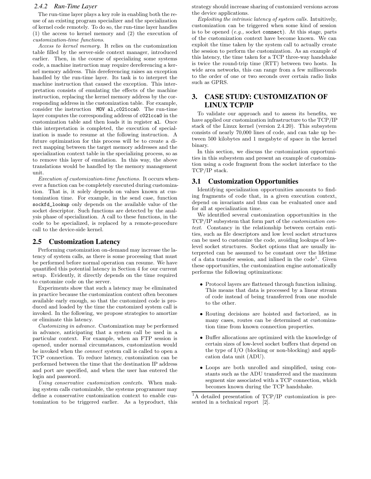### *2.4.2 Run-Time Layer*

The run-time layer plays a key role in enabling both the reuse of an existing program specializer and the specialization of kernel code remotely. To do so, the run-time layer handles (1) the access to kernel memory and (2) the execution of customization-time functions.

Access to kernel memory. It relies on the customization table filled by the server-side context manager, introduced earlier. Then, in the course of specializing some systems code, a machine instruction may require dereferencing a kernel memory address. This dereferencing raises an exception handled by the run-time layer. Its task is to interpret the machine instruction that caused the exception. This interpretation consists of emulating the effects of the machine instruction, replacing the kernel memory address by the corresponding address in the customization table. For example, consider the instruction MOV al,c021cca0. The run-time layer computes the corresponding address of c021cca0 in the customization table and then loads it in register al. Once this interpretation is completed, the execution of specialization is made to resume at the following instruction. A future optimization for this process will be to create a direct mapping between the target memory addresses and the specialization context table in the specializing process, so as to remove this layer of emulation. In this way, the above translations would be handled by the memory management unit.

Execution of customization-time functions. It occurs whenever a function can be completely executed during customization. That is, it solely depends on values known at customization time. For example, in the send case, function sockfd\_lookup only depends on the available value of the socket descriptor. Such functions are detected by the analysis phase of specialization. A call to these functions, in the code to be specialized, is replaced by a remote-procedure call to the device-side kernel.

### **2.5 Customization Latency**

Performing customization on-demand may increase the latency of system calls, as there is some processing that must be performed before normal operation can resume. We have quantified this potential latency in Section 4 for our current setup. Evidently, it directly depends on the time required to customize code on the server.

Experiments show that such a latency may be eliminated in practice because the customization context often becomes available early enough, so that the customized code is produced and loaded by the time the customized system call is invoked. In the following, we propose strategies to amortize or eliminate this latency.

Customizing in advance. Customization may be performed in advance, anticipating that a system call be used in a particular context. For example, when an FTP session is opened, under normal circumstances, customization would be invoked when the connect system call is called to open a TCP connection. To reduce latency, customization can be performed between the time that the destination IP address and port are specified, and when the user has entered the login and password.

Using conservative customization contexts. When making system calls customizable, the systems programmer may define a conservative customization context to enable customization to be triggered earlier. As a byproduct, this strategy should increase sharing of customized versions across the device applications.

Exploiting the intrinsic latency of system calls. Intuitively, customization can be triggered when some kind of session is to be opened  $(e,q)$ , socket connect). At this stage, parts of the customization context have become known. We can exploit the time taken by the system call to actually create the session to perform the customization. As an example of this latency, the time taken for a TCP three-way handshake is twice the round-trip time (RTT) between two hosts. In wide area networks, this can range from a few milliseconds to the order of one or two seconds over certain radio links such as GPRS.

### **3. CASE STUDY: CUSTOMIZATION OF LINUX TCP/IP**

To validate our approach and to assess its benefits, we have applied our customization infrastructure to the TCP/IP stack of the Linux kernel (version 2.4.20). This subsystem consists of nearly 70,000 lines of code, and can take up between 500 kilobytes and 1 megabyte of space in the kernel binary.

In this section, we discuss the customization opportunities in this subsystem and present an example of customization using a code fragment from the socket interface to the TCP/IP stack.

#### **3.1 Customization Opportunities**

Identifying specialization opportunities amounts to finding fragments of code that, in a given execution context, depend on invariants and thus can be evaluated once and for all at specialization time.

We identified several customization opportunities in the TCP/IP subsystem that form part of the customization context. Constancy in the relationship between certain entities, such as file descriptors and low level socket structures can be used to customize the code, avoiding lookups of lowlevel socket structures. Socket options that are usually interpreted can be assumed to be constant over the lifetime of a data transfer session, and inlined in the code<sup>1</sup>. Given these opportunities, the customization engine automatically performs the following optimizations:

- Protocol layers are flattened through function inlining. This means that data is processed by a linear stream of code instead of being transferred from one module to the other.
- Routing decisions are hoisted and factorized, as in many cases, routes can be determined at customization time from known connection properties.
- Buffer allocations are optimized with the knowledge of certain sizes of low-level socket buffers that depend on the type of I/O (blocking or non-blocking) and application data unit (ADU).
- Loops are both unrolled and simplified, using constants such as the ADU transferred and the maximum segment size associated with a TCP connection, which becomes known during the TCP handshake.

<sup>1</sup>A detailed presentation of TCP/IP customization is presented in a technical report [2].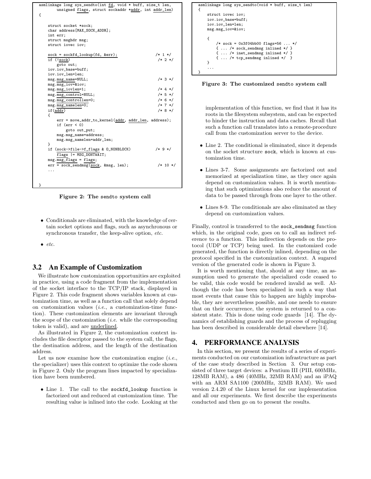| asmlinkage long sys_sendto(int fd, void * buff, size_t len,<br>unsigned flags, struct sockaddr *addr, int addr_len) |             |
|---------------------------------------------------------------------------------------------------------------------|-------------|
| ſ                                                                                                                   |             |
|                                                                                                                     |             |
| struct socket *sock;                                                                                                |             |
| char address[MAX_SOCK_ADDR];                                                                                        |             |
| int err;                                                                                                            |             |
| struct msghdr msg;                                                                                                  |             |
| struct iovec iov;                                                                                                   |             |
| $sock = sockfd\_lookup(fd, ker);$                                                                                   | $/* 1 */$   |
| $if$ $(sock)$                                                                                                       | $/* 2 * /$  |
| goto out;                                                                                                           |             |
| iov.iov_base=buff;                                                                                                  |             |
| iov.iov_len=len;                                                                                                    |             |
| msg.msg_name=NULL;                                                                                                  | $/* 3 * /$  |
| msg.msg_iov=&iov                                                                                                    |             |
| msg.msg_iovlen=1;                                                                                                   | $/* 4 * /$  |
| msg.msg_control=NULL;                                                                                               | $/* 5 * /$  |
| msg.msg_controllen=0;                                                                                               | $/* 6 * /$  |
| msg.msg_namelen=0;                                                                                                  | $/* 7 * /$  |
| if(addr)                                                                                                            | $/* 8 * /$  |
| €                                                                                                                   |             |
| err = move_addr_to_kernel(addr, addr_len, address);<br>if $(err < 0)$                                               |             |
| goto out_put;                                                                                                       |             |
| msg.msg_name=address;                                                                                               |             |
| msg.msg_namelen=addr_len;                                                                                           |             |
| }                                                                                                                   |             |
| if (sock->file->f_flags & O_NONBLOCK)                                                                               | $/* 9*/$    |
| flags  = MSG_DONTWAIT;                                                                                              |             |
| $msg.msg_flags = flags;$                                                                                            |             |
| err = sock_sendmsg(sock, &msg, len);                                                                                | $/* 10 * /$ |
| .                                                                                                                   |             |
|                                                                                                                     |             |
|                                                                                                                     |             |
| }                                                                                                                   |             |

Figure 2: The sendto system call

• Conditionals are eliminated, with the knowledge of certain socket options and flags, such as asynchronous or synchronous transfer, the keep-alive option, etc.

 $\bullet$  etc.

### **3.2 An Example of Customization**

We illustrate how customization opportunities are exploited in practice, using a code fragment from the implementation of the socket interface to the TCP/IP stack, displayed in Figure 2. This code fragment shows variables known at customization time, as well as a function call that solely depend on customization values (i.e., a customization-time function). These customization elements are invariant through the scope of the customization  $(i.e.$  while the corresponding token is valid), and are underlined.

As illustrated in Figure 2, the customization context includes the file descriptor passed to the system call, the flags, the destination address, and the length of the destination address.

Let us now examine how the customization engine  $(i.e.,$ the specializer) uses this context to optimize the code shown in Figure 2. Only the program lines impacted by specialization have been numbered.

• Line 1. The call to the sockfd\_lookup function is factorized out and reduced at customization time. The resulting value is inlined into the code. Looking at the



Figure 3: The customized sendto system call

implementation of this function, we find that it has its roots in the filesystem subsystem, and can be expected to hinder the instruction and data caches. Recall that such a function call translates into a remote-procedure call from the customization server to the device.

- Line 2. The conditional is eliminated, since it depends on the socket structure sock, which is known at customization time.
- Lines 3-7. Some assignments are factorized out and memorized at specialization time, as they once again depend on customization values. It is worth mentioning that such optimizations also reduce the amount of data to be passed through from one layer to the other.
- Lines 8-9. The conditionals are also eliminated as they depend on customization values.

Finally, control is transferred to the sock\_sendmsg function which, in the original code, goes on to call an indirect reference to a function. This indirection depends on the protocol (UDP or TCP) being used. In the customized code generated, the function is directly inlined, depending on the protocol specified in the customization context. A sugared version of the generated code is shown in Figure 3.

It is worth mentioning that, should at any time, an assumption used to generate the specialized code ceased to be valid, this code would be rendered invalid as well. Although the code has been specialized in such a way that most events that cause this to happen are highly improbable, they are nevertheless possible, and one needs to ensure that on their occurrence, the system is returned to a consistent state. This is done using code guards [14]. The dynamics of establishing guards and the process of replugging has been described in considerable detail elsewhere [14].

### **4. PERFORMANCE ANALYSIS**

In this section, we present the results of a series of experiments conducted on our customization infrastructure as part of the case study described in Section 3. Our setup consisted of three target devices: a Pentium III (PIII, 600MHz, 128MB RAM), a 486 (40MHz, 32MB RAM) and an iPAQ with an ARM SA1100 (200MHz, 32MB RAM). We used version 2.4.20 of the Linux kernel for our implementation and all our experiments. We first describe the experiments conducted and then go on to present the results.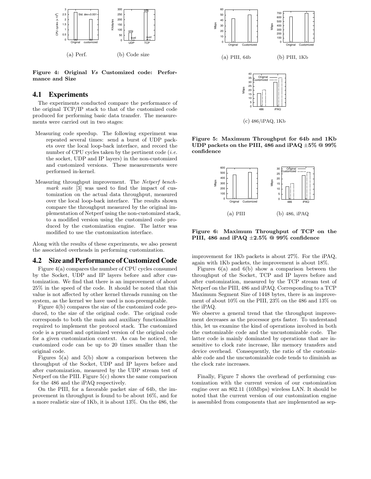

Figure 4: Original Vs Customized code: Performance and Size

### **4.1 Experiments**

The experiments conducted compare the performance of the original TCP/IP stack to that of the customized code produced for performing basic data transfer. The measurements were carried out in two stages:

- Measuring code speedup. The following experiment was repeated several times: send a burst of UDP packets over the local loop-back interface, and record the number of CPU cycles taken by the pertinent code  $(i.e.$ the socket, UDP and IP layers) in the non-customized and customized versions. These measurements were performed in-kernel.
- Measuring throughput improvement. The Netperf benchmark suite [3] was used to find the impact of customization on the actual data throughput, measured over the local loop-back interface. The results shown compare the throughput measured by the original implementation of Netperf using the non-customized stack, to a modified version using the customized code produced by the customization engine. The latter was modified to use the customization interface.

Along with the results of these experiments, we also present the associated overheads in performing customization.

### **4.2 Size and Performance of Customized Code**

Figure 4(a) compares the number of CPU cycles consumed by the Socket, UDP and IP layers before and after customization. We find that there is an improvement of about 25% in the speed of the code. It should be noted that this value is not affected by other kernel threads running on the system, as the kernel we have used is non-preemptable.

Figure 4(b) compares the size of the customized code produced, to the size of the original code. The original code corresponds to both the main and auxiliary functionalities required to implement the protocol stack. The customized code is a pruned and optimized version of the original code for a given customization context. As can be noticed, the customized code can be up to 20 times smaller than the original code.

Figures  $5(a)$  and  $5(b)$  show a comparison between the throughput of the Socket, UDP and IP layers before and after customization, measured by the UDP stream test of Netperf on the PIII. Figure 5(c) shows the same comparison for the 486 and the iPAQ respectively.

On the PIII, for a favorable packet size of 64b, the improvement in throughput is found to be about 16%, and for a more realistic size of 1Kb, it is about 13%. On the 486, the





(c) 486/iPAQ, 1Kb

Figure 5: Maximum Throughput for 64b and 1Kb UDP packets on the PIII, 486 and iPAQ  $\pm 5\%$  @ 99% confidence



Figure 6: Maximum Throughput of TCP on the PIII, 486 and iPAQ  $\pm 2.5\%$  @ 99% confidence

improvement for 1Kb packets is about 27%. For the iPAQ, again with 1Kb packets, the improvement is about 18%.

Figures  $6(a)$  and  $6(b)$  show a comparison between the throughput of the Socket, TCP and IP layers before and after customization, measured by the TCP stream test of Netperf on the PIII, 486 and iPAQ. Corresponding to a TCP Maximum Segment Size of 1448 bytes, there is an improvement of about 10% on the PIII, 23% on the 486 and 13% on the iPAQ.

We observe a general trend that the throughput improvement decreases as the processor gets faster. To understand this, let us examine the kind of operations involved in both the customizable code and the uncustomizable code. The latter code is mainly dominated by operations that are insensitive to clock rate increase, like memory transfers and device overhead. Consequently, the ratio of the customizable code and the uncustomizable code tends to diminish as the clock rate increases.

Finally, Figure 7 shows the overhead of performing customization with the current version of our customization engine over an 802.11 (10Mbps) wireless LAN. It should be noted that the current version of our customization engine is assembled from components that are implemented as sep-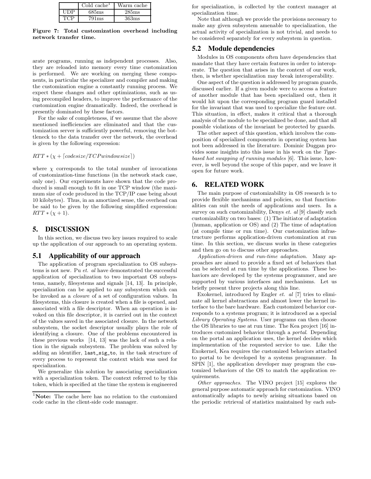|      | Cold cache <sup>1</sup> | Warm cache |
|------|-------------------------|------------|
| סתוז | 685 <sub>ms</sub>       | 285ms      |
|      | $791 \text{ms}$         | 363ms      |

Figure 7: Total customization overhead including network transfer time.

arate programs, running as independent processes. Also, they are reloaded into memory every time customization is performed. We are working on merging these components, in particular the specializer and compiler and making the customization engine a constantly running process. We expect these changes and other optimizations, such as using precompiled headers, to improve the performance of the customization engine dramatically. Indeed, the overhead is presently dominated by these factors.

For the sake of completeness, if we assume that the above mentioned inefficiencies are eliminated and that the customization server is sufficiently powerful, removing the bottleneck to the data transfer over the network, the overhead is given by the following expression:

#### $RTT * (\chi + [codesize/TCP windowsize])$

where  $\chi$  corresponds to the total number of invocations of customization-time functions (in the network stack case, only one). Our experiments have shown that the code produced is small enough to fit in one TCP window (the maximum size of code produced in the TCP/IP case being about 10 kilobytes). Thus, in an amortized sense, the overhead can be said to be given by the following simplified expression:  $RTT * (\chi + 1).$ 

### **5. DISCUSSION**

In this section, we discuss two key issues required to scale up the application of our approach to an operating system.

### **5.1 Applicability of our approach**

The application of program specialization to OS subsystems is not new. Pu et. al have demonstrated the successful application of specialization to two important OS subsystems, namely, filesystems and signals [14, 13]. In principle, specialization can be applied to any subsystem which can be invoked as a closure of a set of configuration values. In filesystems, this closure is created when a file is opened, and associated with a file descriptor. When an operation is invoked on this file descriptor, it is carried out in the context of the values saved in the associated closure. In the network subsystem, the socket descriptor usually plays the role of identifying a closure. One of the problems encountered in these previous works [14, 13] was the lack of such a relation in the signals subsystem. The problem was solved by adding an identifier, last\_sig\_to, in the task structure of every process to represent the context which was used for specialization.

We generalize this solution by associating specialization with a specialization token. The context referred to by this token, which is specified at the time the system is engineered

for specialization, is collected by the context manager at specialization time.

Note that although we provide the provisions necessary to make any given subsystem amenable to specialization, the actual activity of specialization is not trivial, and needs to be considered separately for every subsystem in question.

#### **5.2 Module dependencies**

Modules in OS components often have dependencies that mandate that they have certain features in order to interoperate. The question that arises in the context of our work, then, is whether specialization may break interoperability.

One aspect of the question is addressed by program guards, discussed earlier. If a given module were to access a feature of another module that has been specialized out, then it would hit upon the corresponding program guard installed for the invariant that was used to specialize the feature out. This situation, in effect, makes it critical that a thorough analysis of the module to be specialized be done, and that all possible violations of the invariant be protected by guards.

The other aspect of this question, which involves the composition of specialized components in operating system has not been addressed in the literature. Dominic Duggan provides some insights into this issue in his work on the Typebased hot swapping of running modules [6]. This issue, however, is well beyond the scope of this paper, and we leave it open for future work.

### **6. RELATED WORK**

The main purpose of customizability in OS research is to provide flexible mechanisms and policies, so that functionalities can suit the needs of applications and users. In a survey on such customizability, Denys et. al [9] classify such customizability on two bases: (1) The initiator of adaptation (human, application or OS) and (2) The time of adaptation (at compile time or run time). Our customization infrastructure performs application-driven customization at run time. In this section, we discuss works in these categories and then go on to discuss other approaches.

Application-driven and run-time adaptation. Many approaches are aimed to provide a fixed set of behaviors that can be selected at run time by the applications. These behaviors are developed by the systems programmer, and are supported by various interfaces and mechanisms. Let us briefly present three projects along this line.

Exokernel, introduced by Engler et. al [7] tries to eliminate all kernel abstractions and almost lower the kernel interface to the bare hardware. Each customized behavior corresponds to a systems program; it is introduced as a special Library Operating Systems. User programs can then choose the OS libraries to use at run time. The Kea project [16] introduces customized behavior through a portal. Depending on the portal an application uses, the kernel decides which implementation of the requested service to use. Like the Exokernel, Kea requires the customized behaviors attached to portal to be developed by a systems programmer. In SPIN [1], the application developer may program the customized behaviors of the OS to match the application requirements.

Other approaches. The VINO project [15] explores the general purpose automatic approach for customization. VINO automatically adapts to newly arising situations based on the periodic retrieval of statistics maintained by each sub-

<sup>&</sup>lt;sup>1</sup>Note: The cache here has no relation to the customized code cache in the client-side code manager.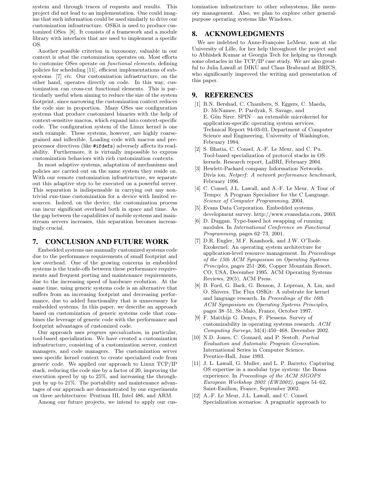system and through traces of requests and results. This project did not lead to an implementation. One could imagine that such information could be used similarly to drive our customization infrastructure. OSKit is used to produce customized OSes [8]. It consists of a framework and a module library with interfaces that are used to implement a specific OS.

Another possible criterion in taxonomy, valuable in our context is what the customization operates on. Most efforts to customize OSes operate on functional elements, defining policies for scheduling [11], efficient implementations of subsystems [7] *etc.* Our customization infrastructure, on the other hand, operates directly on code. In this way, customization can cross-cut functional elements. This is particularly useful when aiming to reduce the size of the system footprint, since narrowing the customization context reduces the code size in proportion. Many OSes use configuration systems that produce customized binaries with the help of context-sensitive macros, which expand into context-specific code. The configuration system of the Linux kernel is one such example. These systems, however, are highly coarsegrained and inflexible. Loading code with macros and preprocessor directives (like #ifdefs) adversely affects its readability. Furthermore, it is virtually impossible to express customization behaviors with rich customization contexts.

In most adaptive systems, adaptation of mechanisms and policies are carried out on the same system they reside on. With our remote customization infrastructure, we separate out this adaptive step to be executed on a powerful server. This separation is indispensable in carrying out any nontrivial run-time customization for a device with limited resources. Indeed, on the device, the customization process can incur significant overhead both in space and time. As the gap between the capabilities of mobile systems and mainstream servers increases, this separation becomes increasingly crucial.

#### **7. CONCLUSION AND FUTURE WORK**

Embedded systems use manually customized systems code due to the performance requirements of small footprint and low overhead. One of the growing concerns in embedded systems is the trade-offs between these performance requirements and frequent porting and maintenance requirements, due to the increasing speed of hardware evolution. At the same time, using generic systems code is an alternative that suffers from an increasing footprint and decreasing performance, due to added functionality that is unnecessary for embedded systems. In this paper, we describe an approach based on customization of generic systems code that combines the leverage of generic code with the performance and footprint advantages of customized code.

Our approach uses program specialization, in particular, tool-based specialization. We have created a customization infrastructure, consisting of a customization server, context managers, and code managers. The customization server uses specific kernel context to create specialized code from generic code. We applied our approach to Linux TCP/IP stack, reducing the code size by a factor of 20, improving the execution speed by up to 25%, and increasing the throughput by up to 21%. The portability and maintenance advantages of our approach are demonstrated by our experiments on three architectures: Pentium III, Intel 486, and ARM.

Among our future projects, we intend to apply our cus-

tomization infrastructure to other subsystems, like memory management. Also, we plan to explore other generalpurpose operating systems like Windows.

### **8. ACKNOWLEDGMENTS**

We are indebted to Anne-Françoise LeMeur, now at the University of Lille, for her help throughout the project and to Abhishek Kumar at Georgia Tech for helping us through some obstacles in the TCP/IP case study. We are also greatful to Julia Lawall at DIKU and Claus Brabrand at BRICS, who significantly improved the writing and presentation of this paper.

### **9. REFERENCES**

- [1] B.N. Bershad, C. Chambers, S. Eggers, C. Maeda, D. McNamee, P. Pardyak, S. Savage, and E. Gün Sirer. SPIN – an extensible microkernel for application-specific operating system services. Technical Report 94-03-03, Department of Computer Science and Engineering, University of Washington, February 1994.
- [2] S. Bhatia, C. Consel, A.-F. Le Meur, and C. Pu. Tool-based specialization of protocol stacks in OS kernels. Research report, LaBRI, February 2004.
- [3] Hewlett-Packard company Information Networks Divis ion. Netperf: A network performance benchmark, February 1996.
- [4] C. Consel, J.L. Lawall, and A.-F. Le Meur. A Tour of Tempo: A Program Specializer for the C Language. Science of Computer Programming, 2004.
- [5] Evans Data Corporation. Embedded systems development survey. http://www.evansdata.com, 2003.
- [6] D. Duggan. Type-based hot swapping of running modules. In International Conference on Functional Programming, pages 62–73, 2001.
- [7] D.R. Engler, M.F. Kaashoek, and J.W. O'Toole. Exokernel: An operating system architecture for application-level resource management. In Proceedings of the 15th ACM Symposium on Operating Systems Principles, pages 251–266, Copper Mountain Resort, CO, USA, December 1995. ACM Operating Systems Reviews, 29(5), ACM Press.
- [8] B. Ford, G. Back, G. Benson, J. Lepreau, A. Lin, and O. Shivers. The Flux OSKit: A substrate for kernel and language research. In Proceedings of the 16th ACM Symposium on Operating Systems Principles, pages 38–51, St-Malo, France, October 1997.
- [9] F. Matthijs G. Denys, F. Piessens. Survey of customizability in operating systems research. ACM Computing Surveys, 34(4):450–468, December 2002.
- [10] N.D. Jones, C. Gomard, and P. Sestoft. Partial Evaluation and Automatic Program Generation. International Series in Computer Science. Prentice-Hall, June 1993.
- [11] J. L. Lawall, G. Muller, and L. P. Barreto. Capturing OS expertise in a modular type system: the Bossa experience. In Proceedings of the ACM SIGOPS European Workshop 2002 (EW2002), pages 54–62, Saint-Emilion, France, September 2002.
- [12] A.-F. Le Meur, J.L. Lawall, and C. Consel. Specialization scenarios: A pragmatic approach to